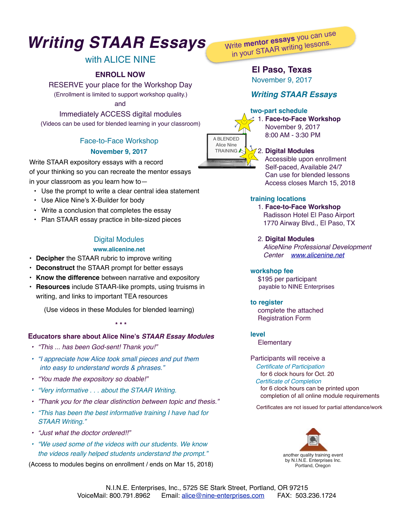# *Writing STAAR Essays*

# with ALICE NINE

## **ENROLL NOW**

RESERVE your place for the Workshop Day (Enrollment is limited to support workshop quality.)

and

Immediately ACCESS digital modules

(Videos can be used for blended learning in your classroom)

# Face-to-Face Workshop **November 9, 2017**

Write STAAR expository essays with a record of your thinking so you can recreate the mentor essays in your classroom as you learn how to—

- Use the prompt to write a clear central idea statement
- Use Alice Nine's X-Builder for body
- Write a conclusion that completes the essay
- Plan STAAR essay practice in bite-sized pieces

# Digital Modules

### **www.alicenine.net**

- **Decipher** the STAAR rubric to improve writing
- **Deconstruct** the STAAR prompt for better essays
- **Know the difference** between narrative and expository
- **Resources** include STAAR-like prompts, using truisms in writing, and links to important TEA resources

(Use videos in these Modules for blended learning)

#### **\* \* \***

## **Educators share about Alice Nine's** *STAAR Essay Modules*

- *• "This ... has been God-sent! Thank you!"*
- *• "I appreciate how Alice took small pieces and put them into easy to understand words & phrases."*
- *• "You made the expository so doable!"*
- *• "Very informative . . . about the STAAR Writing.*
- *• "Thank you for the clear distinction between topic and thesis."*
- *• "This has been the best informative training I have had for STAAR Writing."*
- *• "Just what the doctor ordered!!"*
- *• "We used some of the videos with our students. We know the videos really helped students understand the prompt."*

(Access to modules begins on enrollment / ends on Mar 15, 2018)

Write **mentor essays** you can use in your STAAR writing lessons.

# **El Paso, Texas**

November 9, 2017

# *Writing STAAR Essays*

## **two-part schedule**



## 2. **Digital Modules**

 November 9, 2017 8:00 AM - 3:30 PM

 Accessible upon enrollment Self-paced, Available 24/7 Can use for blended lessons Access closes March 15, 2018

## **training locations**

1. **Face-to-Face Workshop** Radisson Hotel El Paso Airport 1770 Airway Blvd., El Paso, TX

2. **Digital Modules**

 *AliceNine Professional Development Center [www.alicenine.net](http://www.alicenine.net)*

#### **workshop fee**

 \$195 per participant payable to NINE Enterprises

## **to register**

 complete the attached Registration Form

#### **level**

**Elementary** 

# Participants will receive a

 *Certificate of Participation*  for 6 clock hours for Oct. 20 *Certificate of Completion* for 6 clock hours can be printed upon completion of all online module requirements

Certificates are not issued for partial attendance/work



by N.I.N.E. Enterprises Inc. Portland, Oregon